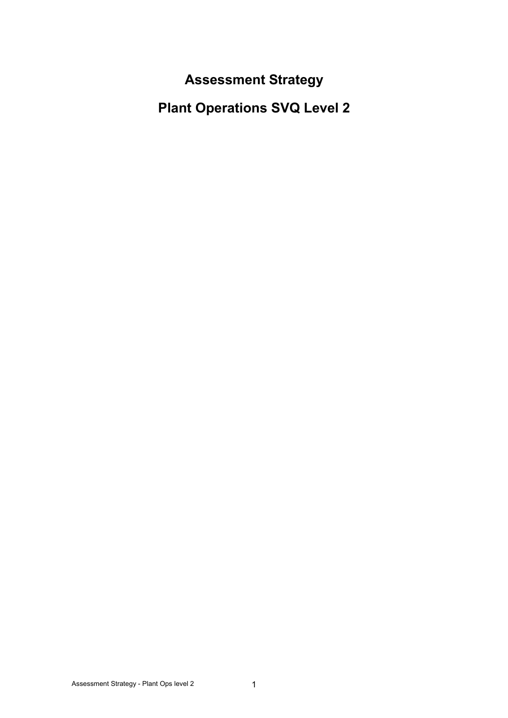**Assessment Strategy** 

**Plant Operations SVQ Level 2**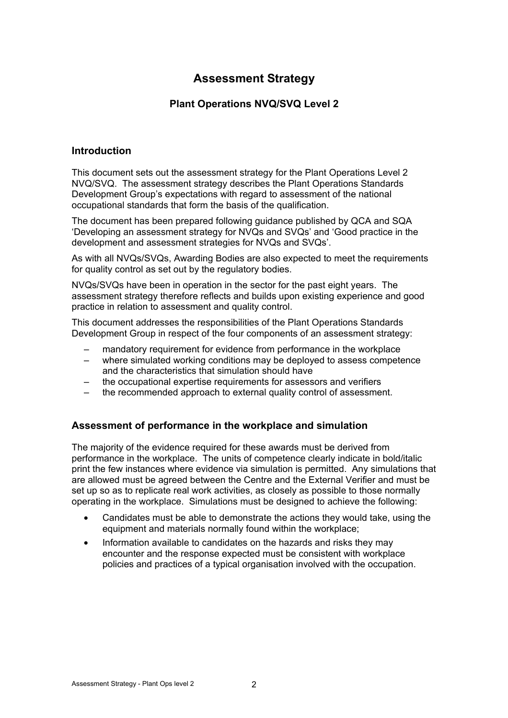# **Assessment Strategy**

# **Plant Operations NVQ/SVQ Level 2**

## **Introduction**

This document sets out the assessment strategy for the Plant Operations Level 2 NVQ/SVQ. The assessment strategy describes the Plant Operations Standards Development Group's expectations with regard to assessment of the national occupational standards that form the basis of the qualification.

The document has been prepared following guidance published by QCA and SQA 'Developing an assessment strategy for NVQs and SVQs' and 'Good practice in the development and assessment strategies for NVQs and SVQs'.

As with all NVQs/SVQs, Awarding Bodies are also expected to meet the requirements for quality control as set out by the regulatory bodies.

NVQs/SVQs have been in operation in the sector for the past eight years. The assessment strategy therefore reflects and builds upon existing experience and good practice in relation to assessment and quality control.

This document addresses the responsibilities of the Plant Operations Standards Development Group in respect of the four components of an assessment strategy:

- mandatory requirement for evidence from performance in the workplace
- where simulated working conditions may be deployed to assess competence and the characteristics that simulation should have
- the occupational expertise requirements for assessors and verifiers
- the recommended approach to external quality control of assessment.

### **Assessment of performance in the workplace and simulation**

The majority of the evidence required for these awards must be derived from performance in the workplace. The units of competence clearly indicate in bold/italic print the few instances where evidence via simulation is permitted. Any simulations that are allowed must be agreed between the Centre and the External Verifier and must be set up so as to replicate real work activities, as closely as possible to those normally operating in the workplace. Simulations must be designed to achieve the following:

- Candidates must be able to demonstrate the actions they would take, using the equipment and materials normally found within the workplace;
- Information available to candidates on the hazards and risks they may encounter and the response expected must be consistent with workplace policies and practices of a typical organisation involved with the occupation.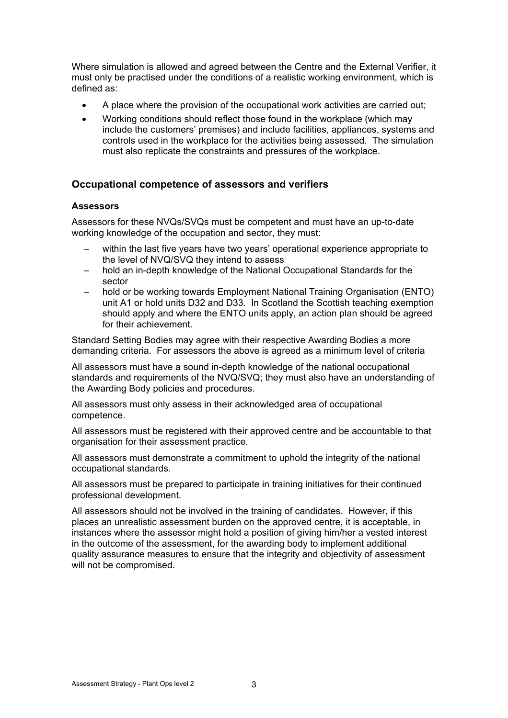Where simulation is allowed and agreed between the Centre and the External Verifier, it must only be practised under the conditions of a realistic working environment, which is defined as:

- A place where the provision of the occupational work activities are carried out;
- Working conditions should reflect those found in the workplace (which may include the customers' premises) and include facilities, appliances, systems and controls used in the workplace for the activities being assessed. The simulation must also replicate the constraints and pressures of the workplace.

### **Occupational competence of assessors and verifiers**

#### **Assessors**

Assessors for these NVQs/SVQs must be competent and must have an up-to-date working knowledge of the occupation and sector, they must:

- within the last five years have two years' operational experience appropriate to the level of NVQ/SVQ they intend to assess
- hold an in-depth knowledge of the National Occupational Standards for the sector
- hold or be working towards Employment National Training Organisation (ENTO) unit A1 or hold units D32 and D33. In Scotland the Scottish teaching exemption should apply and where the ENTO units apply, an action plan should be agreed for their achievement.

Standard Setting Bodies may agree with their respective Awarding Bodies a more demanding criteria. For assessors the above is agreed as a minimum level of criteria

All assessors must have a sound in-depth knowledge of the national occupational standards and requirements of the NVQ/SVQ; they must also have an understanding of the Awarding Body policies and procedures.

All assessors must only assess in their acknowledged area of occupational competence.

All assessors must be registered with their approved centre and be accountable to that organisation for their assessment practice.

All assessors must demonstrate a commitment to uphold the integrity of the national occupational standards.

All assessors must be prepared to participate in training initiatives for their continued professional development.

All assessors should not be involved in the training of candidates. However, if this places an unrealistic assessment burden on the approved centre, it is acceptable, in instances where the assessor might hold a position of giving him/her a vested interest in the outcome of the assessment, for the awarding body to implement additional quality assurance measures to ensure that the integrity and objectivity of assessment will not be compromised.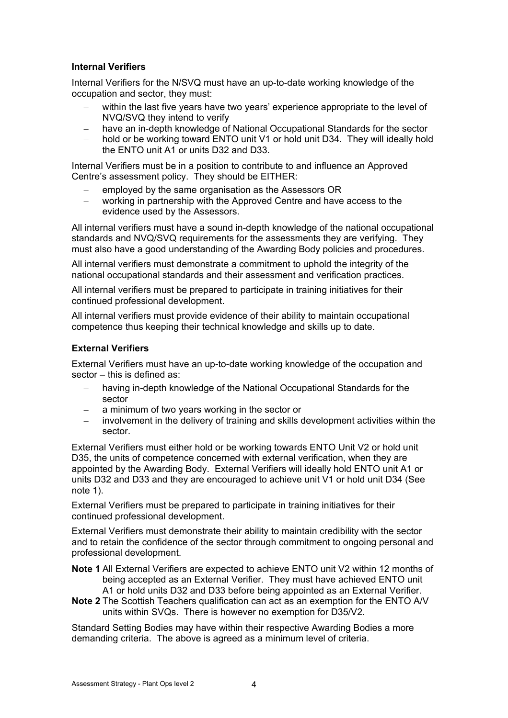### **Internal Verifiers**

Internal Verifiers for the N/SVQ must have an up-to-date working knowledge of the occupation and sector, they must:

- within the last five years have two years' experience appropriate to the level of NVQ/SVQ they intend to verify
- have an in-depth knowledge of National Occupational Standards for the sector
- hold or be working toward ENTO unit V1 or hold unit D34. They will ideally hold the ENTO unit A1 or units D32 and D33.

Internal Verifiers must be in a position to contribute to and influence an Approved Centre's assessment policy. They should be EITHER:

- employed by the same organisation as the Assessors OR
- working in partnership with the Approved Centre and have access to the evidence used by the Assessors.

All internal verifiers must have a sound in-depth knowledge of the national occupational standards and NVQ/SVQ requirements for the assessments they are verifying. They must also have a good understanding of the Awarding Body policies and procedures.

All internal verifiers must demonstrate a commitment to uphold the integrity of the national occupational standards and their assessment and verification practices.

All internal verifiers must be prepared to participate in training initiatives for their continued professional development.

All internal verifiers must provide evidence of their ability to maintain occupational competence thus keeping their technical knowledge and skills up to date.

#### **External Verifiers**

External Verifiers must have an up-to-date working knowledge of the occupation and sector – this is defined as:

- having in-depth knowledge of the National Occupational Standards for the sector
- a minimum of two years working in the sector or
- involvement in the delivery of training and skills development activities within the sector.

External Verifiers must either hold or be working towards ENTO Unit V2 or hold unit D35, the units of competence concerned with external verification, when they are appointed by the Awarding Body. External Verifiers will ideally hold ENTO unit A1 or units D32 and D33 and they are encouraged to achieve unit V1 or hold unit D34 (See note 1).

External Verifiers must be prepared to participate in training initiatives for their continued professional development.

External Verifiers must demonstrate their ability to maintain credibility with the sector and to retain the confidence of the sector through commitment to ongoing personal and professional development.

**Note 1** All External Verifiers are expected to achieve ENTO unit V2 within 12 months of being accepted as an External Verifier. They must have achieved ENTO unit A1 or hold units D32 and D33 before being appointed as an External Verifier.

**Note 2** The Scottish Teachers qualification can act as an exemption for the ENTO A/V units within SVQs. There is however no exemption for D35/V2.

Standard Setting Bodies may have within their respective Awarding Bodies a more demanding criteria. The above is agreed as a minimum level of criteria.